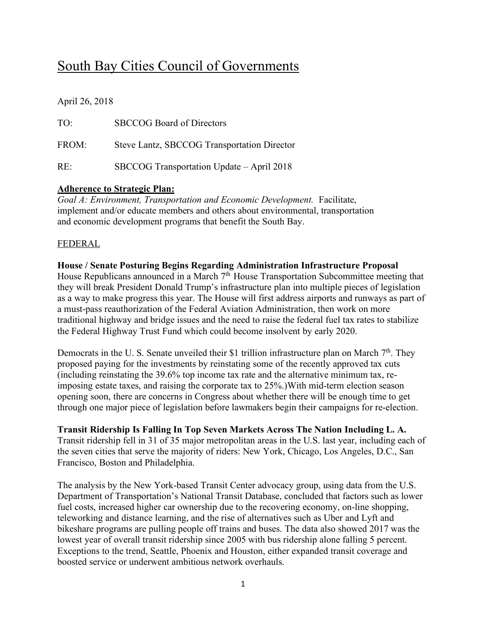# South Bay Cities Council of Governments

April 26, 2018

| TO <sup>1</sup> | <b>SBCCOG</b> Board of Directors            |
|-----------------|---------------------------------------------|
| FROM:           | Steve Lantz, SBCCOG Transportation Director |
| $RE^+$          | SBCCOG Transportation Update – April 2018   |

## **Adherence to Strategic Plan:**

*Goal A: Environment, Transportation and Economic Development.* Facilitate, implement and/or educate members and others about environmental, transportation and economic development programs that benefit the South Bay.

## FEDERAL

#### **House / Senate Posturing Begins Regarding Administration Infrastructure Proposal** House Republicans announced in a March 7<sup>th</sup> House Transportation Subcommittee meeting that they will break President Donald Trump's infrastructure plan into multiple pieces of legislation as a way to make progress this year. The House will first address airports and runways as part of a must-pass reauthorization of the Federal Aviation Administration, then work on more traditional highway and bridge issues and the need to raise the federal fuel tax rates to stabilize the Federal Highway Trust Fund which could become insolvent by early 2020.

Democrats in the U.S. Senate unveiled their \$1 trillion infrastructure plan on March 7<sup>th</sup>. They proposed paying for the investments by reinstating some of the recently approved tax cuts (including reinstating the 39.6% top income tax rate and the alternative minimum tax, reimposing estate taxes, and raising the corporate tax to 25%.)With mid-term election season opening soon, there are concerns in Congress about whether there will be enough time to get through one major piece of legislation before lawmakers begin their campaigns for re-election.

## **Transit Ridership Is Falling In Top Seven Markets Across The Nation Including L. A.**

Transit ridership fell in 31 of 35 major metropolitan areas in the U.S. last year, including each of the seven cities that serve the majority of riders: New York, Chicago, Los Angeles, D.C., San Francisco, Boston and Philadelphia.

The analysis by the New York-based Transit Center advocacy group, using data from the U.S. Department of Transportation's National Transit Database, concluded that factors such as lower fuel costs, increased higher car ownership due to the recovering economy, on-line shopping, teleworking and distance learning, and the rise of alternatives such as Uber and Lyft and bikeshare programs are pulling people off trains and buses. The data also showed 2017 was the lowest year of overall transit ridership since 2005 with bus ridership alone falling 5 percent. Exceptions to the trend, Seattle, Phoenix and Houston, either expanded transit coverage and boosted service or underwent ambitious network overhauls.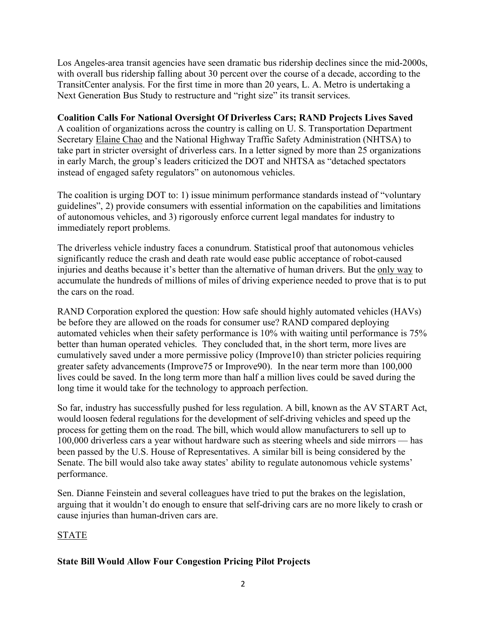Los Angeles-area transit agencies have seen dramatic bus ridership declines since the mid-2000s, with overall bus ridership falling about 30 percent over the course of a decade, according to the TransitCenter analysis. For the first time in more than 20 years, L. A. Metro is undertaking a Next Generation Bus Study to restructure and "right size" its transit services.

#### **Coalition Calls For National Oversight Of Driverless Cars; RAND Projects Lives Saved**

A coalition of organizations across the country is calling on U. S. Transportation Department Secretary Elaine Chao and the National Highway Traffic Safety Administration (NHTSA) to take part in stricter oversight of driverless cars. In a letter signed by more than 25 organizations in early March, the group's leaders criticized the DOT and NHTSA as "detached spectators instead of engaged safety regulators" on autonomous vehicles.

The coalition is urging DOT to: 1) issue minimum performance standards instead of "voluntary guidelines", 2) provide consumers with essential information on the capabilities and limitations of autonomous vehicles, and 3) rigorously enforce current legal mandates for industry to immediately report problems.

The driverless vehicle industry faces a conundrum. Statistical proof that autonomous vehicles significantly reduce the crash and death rate would ease public acceptance of robot-caused injuries and deaths because it's better than the alternative of human drivers. But the only way to accumulate the hundreds of millions of miles of driving experience needed to prove that is to put the cars on the road.

RAND Corporation explored the question: How safe should highly automated vehicles (HAVs) be before they are allowed on the roads for consumer use? RAND compared deploying automated vehicles when their safety performance is 10% with waiting until performance is 75% better than human operated vehicles. They concluded that, in the short term, more lives are cumulatively saved under a more permissive policy (Improve10) than stricter policies requiring greater safety advancements (Improve75 or Improve90). In the near term more than 100,000 lives could be saved. In the long term more than half a million lives could be saved during the long time it would take for the technology to approach perfection.

So far, industry has successfully pushed for less regulation. A bill, known as the AV START Act, would loosen federal regulations for the development of self-driving vehicles and speed up the process for getting them on the road. The bill, which would allow manufacturers to sell up to 100,000 driverless cars a year without hardware such as steering wheels and side mirrors — has been passed by the U.S. House of Representatives. A similar bill is being considered by the Senate. The bill would also take away states' ability to regulate autonomous vehicle systems' performance.

Sen. Dianne Feinstein and several colleagues have tried to put the brakes on the legislation, arguing that it wouldn't do enough to ensure that self-driving cars are no more likely to crash or cause injuries than human-driven cars are.

## STATE

## **State Bill Would Allow Four Congestion Pricing Pilot Projects**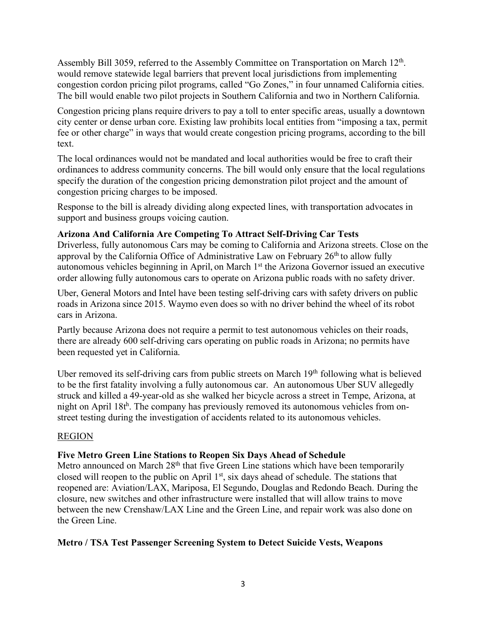Assembly Bill 3059, referred to the Assembly Committee on Transportation on March 12th. would remove statewide legal barriers that prevent local jurisdictions from implementing congestion cordon pricing pilot programs, called "Go Zones," in four unnamed California cities. The bill would enable two pilot projects in Southern California and two in Northern California.

Congestion pricing plans require drivers to pay a toll to enter specific areas, usually a downtown city center or dense urban core. Existing law prohibits local entities from "imposing a tax, permit fee or other charge" in ways that would create congestion pricing programs, according to the bill text.

The local ordinances would not be mandated and local authorities would be free to craft their ordinances to address community concerns. The bill would only ensure that the local regulations specify the duration of the congestion pricing demonstration pilot project and the amount of congestion pricing charges to be imposed.

Response to the bill is already dividing along expected lines, with transportation advocates in support and business groups voicing caution.

#### **Arizona And California Are Competing To Attract Self-Driving Car Tests**

Driverless, fully autonomous Cars may be coming to California and Arizona streets. Close on the approval by the California Office of Administrative Law on February  $26<sup>th</sup>$  to allow fully autonomous vehicles beginning in April, on March 1st the Arizona Governor issued an executive order allowing fully autonomous cars to operate on Arizona public roads with no safety driver.

Uber, General Motors and Intel have been testing self-driving cars with safety drivers on public roads in Arizona since 2015. Waymo even does so with no driver behind the wheel of its robot cars in Arizona.

Partly because Arizona does not require a permit to test autonomous vehicles on their roads, there are already 600 self-driving cars operating on public roads in Arizona; no permits have been requested yet in California.

Uber removed its self-driving cars from public streets on March 19<sup>th</sup> following what is believed to be the first fatality involving a fully autonomous car. An autonomous Uber SUV allegedly struck and killed a 49-year-old as she walked her bicycle across a street in Tempe, Arizona, at night on April 18th. The company has previously removed its autonomous vehicles from onstreet testing during the investigation of accidents related to its autonomous vehicles.

#### REGION

## **Five Metro Green Line Stations to Reopen Six Days Ahead of Schedule**

Metro announced on March 28<sup>th</sup> that five Green Line stations which have been temporarily closed will reopen to the public on April 1<sup>st</sup>, six days ahead of schedule. The stations that reopened are: Aviation/LAX, Mariposa, El Segundo, Douglas and Redondo Beach. During the closure, new switches and other infrastructure were installed that will allow trains to move between the new Crenshaw/LAX Line and the Green Line, and repair work was also done on the Green Line.

#### **Metro / TSA Test Passenger Screening System to Detect Suicide Vests, Weapons**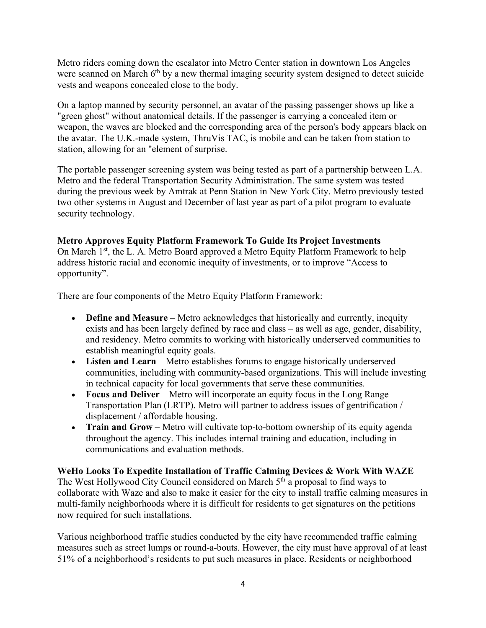Metro riders coming down the escalator into Metro Center station in downtown Los Angeles were scanned on March 6<sup>th</sup> by a new thermal imaging security system designed to detect suicide vests and weapons concealed close to the body.

On a laptop manned by security personnel, an avatar of the passing passenger shows up like a "green ghost" without anatomical details. If the passenger is carrying a concealed item or weapon, the waves are blocked and the corresponding area of the person's body appears black on the avatar. The U.K.-made system, ThruVis TAC, is mobile and can be taken from station to station, allowing for an "element of surprise.

The portable passenger screening system was being tested as part of a partnership between L.A. Metro and the federal Transportation Security Administration. The same system was tested during the previous week by Amtrak at Penn Station in New York City. Metro previously tested two other systems in August and December of last year as part of a pilot program to evaluate security technology.

## **Metro Approves Equity Platform Framework To Guide Its Project Investments**

On March 1<sup>st</sup>, the L. A. Metro Board approved a Metro Equity Platform Framework to help address historic racial and economic inequity of investments, or to improve "Access to opportunity".

There are four components of the Metro Equity Platform Framework:

- **Define and Measure** Metro acknowledges that historically and currently, inequity exists and has been largely defined by race and class – as well as age, gender, disability, and residency. Metro commits to working with historically underserved communities to establish meaningful equity goals.
- **Listen and Learn** Metro establishes forums to engage historically underserved communities, including with community-based organizations. This will include investing in technical capacity for local governments that serve these communities.
- **Focus and Deliver** Metro will incorporate an equity focus in the Long Range Transportation Plan (LRTP). Metro will partner to address issues of gentrification / displacement / affordable housing.
- **Train and Grow** Metro will cultivate top-to-bottom ownership of its equity agenda throughout the agency. This includes internal training and education, including in communications and evaluation methods.

**WeHo Looks To Expedite Installation of Traffic Calming Devices & Work With WAZE** The West Hollywood City Council considered on March 5<sup>th</sup> a proposal to find ways to collaborate with Waze and also to make it easier for the city to install traffic calming measures in multi-family neighborhoods where it is difficult for residents to get signatures on the petitions now required for such installations.

Various neighborhood traffic studies conducted by the city have recommended traffic calming measures such as street lumps or round-a-bouts. However, the city must have approval of at least 51% of a neighborhood's residents to put such measures in place. Residents or neighborhood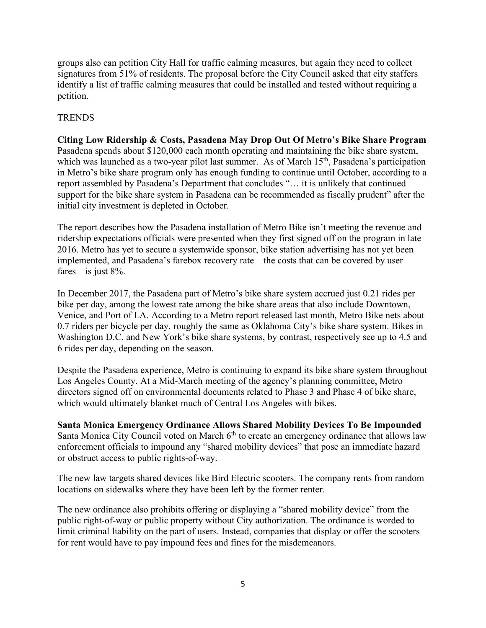groups also can petition City Hall for traffic calming measures, but again they need to collect signatures from 51% of residents. The proposal before the City Council asked that city staffers identify a list of traffic calming measures that could be installed and tested without requiring a petition.

## **TRENDS**

**Citing Low Ridership & Costs, Pasadena May Drop Out Of Metro's Bike Share Program** Pasadena spends about \$120,000 each month operating and maintaining the bike share system, which was launched as a two-year pilot last summer. As of March  $15<sup>th</sup>$ , Pasadena's participation in Metro's bike share program only has enough funding to continue until October, according to a report assembled by Pasadena's Department that concludes "… it is unlikely that continued support for the bike share system in Pasadena can be recommended as fiscally prudent" after the initial city investment is depleted in October.

The report describes how the Pasadena installation of Metro Bike isn't meeting the revenue and ridership expectations officials were presented when they first signed off on the program in late 2016. Metro has yet to secure a systemwide sponsor, bike station advertising has not yet been implemented, and Pasadena's farebox recovery rate—the costs that can be covered by user fares—is just 8%.

In December 2017, the Pasadena part of Metro's bike share system accrued just 0.21 rides per bike per day, among the lowest rate among the bike share areas that also include Downtown, Venice, and Port of LA. According to a Metro report released last month, Metro Bike nets about 0.7 riders per bicycle per day, roughly the same as Oklahoma City's bike share system. Bikes in Washington D.C. and New York's bike share systems, by contrast, respectively see up to 4.5 and 6 rides per day, depending on the season.

Despite the Pasadena experience, Metro is continuing to expand its bike share system throughout Los Angeles County. At a Mid-March meeting of the agency's planning committee, Metro directors signed off on environmental documents related to Phase 3 and Phase 4 of bike share, which would ultimately blanket much of Central Los Angeles with bikes.

**Santa Monica Emergency Ordinance Allows Shared Mobility Devices To Be Impounded** Santa Monica City Council voted on March 6<sup>th</sup> to create an emergency ordinance that allows law enforcement officials to impound any "shared mobility devices" that pose an immediate hazard or obstruct access to public rights-of-way.

The new law targets shared devices like Bird Electric scooters. The company rents from random locations on sidewalks where they have been left by the former renter.

The new ordinance also prohibits offering or displaying a "shared mobility device" from the public right-of-way or public property without City authorization. The ordinance is worded to limit criminal liability on the part of users. Instead, companies that display or offer the scooters for rent would have to pay impound fees and fines for the misdemeanors.